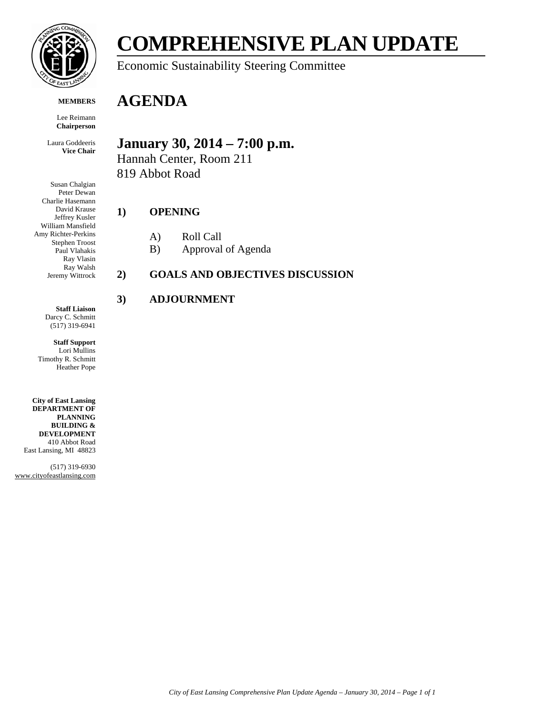

#### **MEMBERS**

Lee Reimann **Chairperson**

Laura Goddeeris **Vice Chair**

Susan Chalgian Peter Dewan Charlie Hasemann David Krause Jeffrey Kusler William Mansfield Amy Richter-Perkins Stephen Troost Paul Vlahakis Ray Vlasin Ray Walsh Jeremy Wittrock

> **Staff Liaison** Darcy C. Schmitt

(517) 319-6941

**Staff Support** Lori Mullins Timothy R. Schmitt Heather Pope

**City of East Lansing DEPARTMENT OF PLANNING BUILDING & DEVELOPMENT** 410 Abbot Road East Lansing, MI 48823

(517) 319-6930 www.cityofeastlansing.com

# **COMPREHENSIVE PLAN UPDATE**

Economic Sustainability Steering Committee

## **AGENDA**

### **January 30, 2014 – 7:00 p.m.**

Hannah Center, Room 211 819 Abbot Road

#### **1) OPENING**

- A) Roll Call
- B) Approval of Agenda

#### **2) GOALS AND OBJECTIVES DISCUSSION**

#### **3) ADJOURNMENT**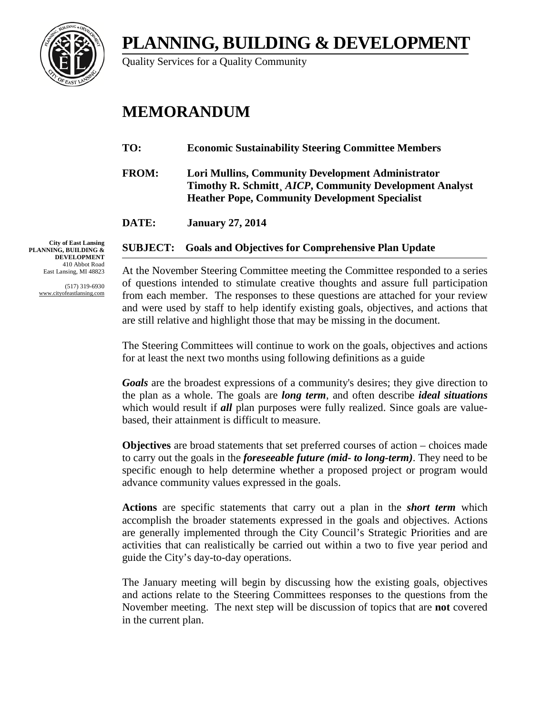## **PLANNING, BUILDING & DEVELOPMENT**



Quality Services for a Quality Community

## **MEMORANDUM**

- **TO: Economic Sustainability Steering Committee Members**
- **FROM: Lori Mullins, Community Development Administrator Timothy R. Schmitt¸** *AICP***, Community Development Analyst Heather Pope, Community Development Specialist**

**DATE: January 27, 2014**

### **SUBJECT: Goals and Objectives for Comprehensive Plan Update**

At the November Steering Committee meeting the Committee responded to a series of questions intended to stimulate creative thoughts and assure full participation from each member. The responses to these questions are attached for your review and were used by staff to help identify existing goals, objectives, and actions that are still relative and highlight those that may be missing in the document.

The Steering Committees will continue to work on the goals, objectives and actions for at least the next two months using following definitions as a guide

*Goals* are the broadest expressions of a community's desires; they give direction to the plan as a whole. The goals are *long term*, and often describe *ideal situations* which would result if *all* plan purposes were fully realized. Since goals are valuebased, their attainment is difficult to measure.

**Objectives** are broad statements that set preferred courses of action – choices made to carry out the goals in the *foreseeable future (mid- to long-term)*. They need to be specific enough to help determine whether a proposed project or program would advance community values expressed in the goals.

**Actions** are specific statements that carry out a plan in the *short term* which accomplish the broader statements expressed in the goals and objectives. Actions are generally implemented through the City Council's Strategic Priorities and are activities that can realistically be carried out within a two to five year period and guide the City's day-to-day operations.

The January meeting will begin by discussing how the existing goals, objectives and actions relate to the Steering Committees responses to the questions from the November meeting. The next step will be discussion of topics that are **not** covered in the current plan.

**City of East Lansing PLANNING, BUILDING & DEVELOPMENT** 410 Abbot Road East Lansing, MI 48823

> (517) 319-6930 www.cityofeastlansing.com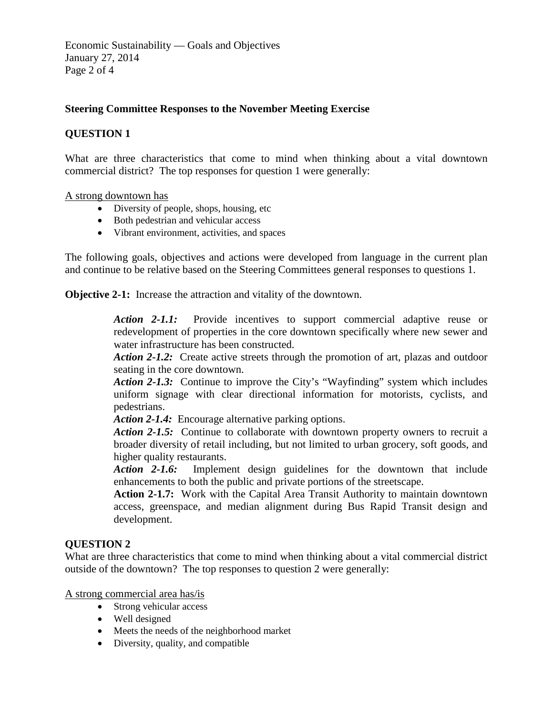Economic Sustainability — Goals and Objectives January 27, 2014 Page 2 of 4

#### **Steering Committee Responses to the November Meeting Exercise**

#### **QUESTION 1**

What are three characteristics that come to mind when thinking about a vital downtown commercial district? The top responses for question 1 were generally:

#### A strong downtown has

- Diversity of people, shops, housing, etc
- Both pedestrian and vehicular access
- Vibrant environment, activities, and spaces

The following goals, objectives and actions were developed from language in the current plan and continue to be relative based on the Steering Committees general responses to questions 1.

**Objective 2-1:** Increase the attraction and vitality of the downtown.

*Action 2-1.1:*Provide incentives to support commercial adaptive reuse or redevelopment of properties in the core downtown specifically where new sewer and water infrastructure has been constructed.

Action 2-1.2: Create active streets through the promotion of art, plazas and outdoor seating in the core downtown.

*Action 2-1.3:* Continue to improve the City's "Wayfinding" system which includes uniform signage with clear directional information for motorists, cyclists, and pedestrians.

Action 2-1.4: Encourage alternative parking options.

*Action 2-1.5:* Continue to collaborate with downtown property owners to recruit a broader diversity of retail including, but not limited to urban grocery, soft goods, and higher quality restaurants.

*Action 2-1.6:* Implement design guidelines for the downtown that include enhancements to both the public and private portions of the streetscape.

**Action 2-1.7:** Work with the Capital Area Transit Authority to maintain downtown access, greenspace, and median alignment during Bus Rapid Transit design and development.

#### **QUESTION 2**

What are three characteristics that come to mind when thinking about a vital commercial district outside of the downtown? The top responses to question 2 were generally:

A strong commercial area has/is

- Strong vehicular access
- Well designed
- Meets the needs of the neighborhood market
- Diversity, quality, and compatible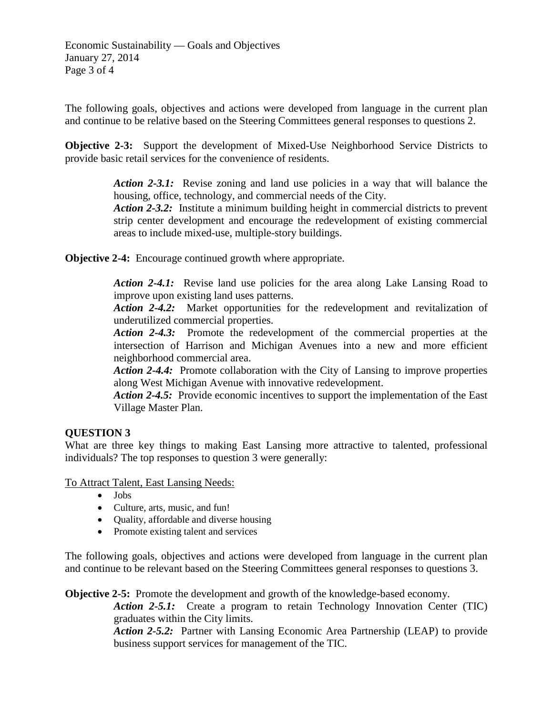Economic Sustainability — Goals and Objectives January 27, 2014 Page 3 of 4

The following goals, objectives and actions were developed from language in the current plan and continue to be relative based on the Steering Committees general responses to questions 2.

**Objective 2-3:** Support the development of Mixed-Use Neighborhood Service Districts to provide basic retail services for the convenience of residents.

> *Action 2-3.1:* Revise zoning and land use policies in a way that will balance the housing, office, technology, and commercial needs of the City.

> *Action 2-3.2:* Institute a minimum building height in commercial districts to prevent strip center development and encourage the redevelopment of existing commercial areas to include mixed-use, multiple-story buildings.

**Objective 2-4:** Encourage continued growth where appropriate.

Action 2-4.1: Revise land use policies for the area along Lake Lansing Road to improve upon existing land uses patterns.

*Action 2-4.2:* Market opportunities for the redevelopment and revitalization of underutilized commercial properties.

*Action 2-4.3:* Promote the redevelopment of the commercial properties at the intersection of Harrison and Michigan Avenues into a new and more efficient neighborhood commercial area.

*Action 2-4.4:* Promote collaboration with the City of Lansing to improve properties along West Michigan Avenue with innovative redevelopment.

Action 2-4.5: Provide economic incentives to support the implementation of the East Village Master Plan.

#### **QUESTION 3**

What are three key things to making East Lansing more attractive to talented, professional individuals? The top responses to question 3 were generally:

To Attract Talent, East Lansing Needs:

- Jobs
- Culture, arts, music, and fun!
- Quality, affordable and diverse housing
- Promote existing talent and services

The following goals, objectives and actions were developed from language in the current plan and continue to be relevant based on the Steering Committees general responses to questions 3.

**Objective 2-5:** Promote the development and growth of the knowledge-based economy.

*Action 2-5.1:* Create a program to retain Technology Innovation Center (TIC) graduates within the City limits.

*Action 2-5.2:* Partner with Lansing Economic Area Partnership (LEAP) to provide business support services for management of the TIC.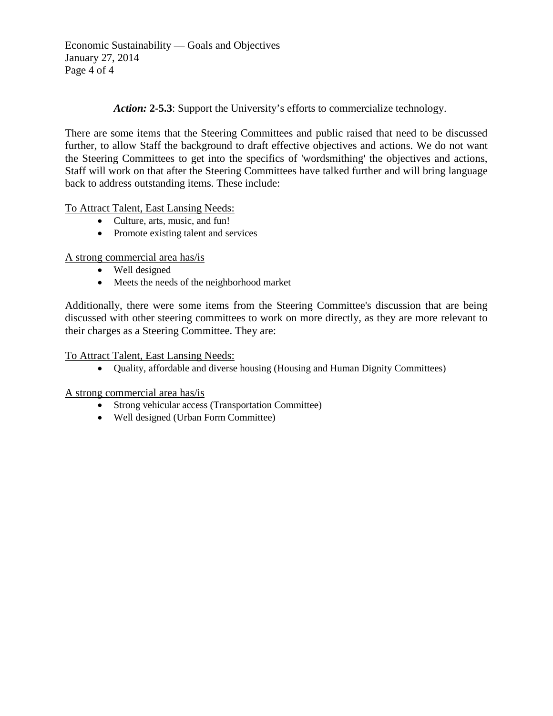Economic Sustainability — Goals and Objectives January 27, 2014 Page 4 of 4

*Action:* **2-5.3**: Support the University's efforts to commercialize technology.

There are some items that the Steering Committees and public raised that need to be discussed further, to allow Staff the background to draft effective objectives and actions. We do not want the Steering Committees to get into the specifics of 'wordsmithing' the objectives and actions, Staff will work on that after the Steering Committees have talked further and will bring language back to address outstanding items. These include:

To Attract Talent, East Lansing Needs:

- Culture, arts, music, and fun!
- Promote existing talent and services

A strong commercial area has/is

- Well designed
- Meets the needs of the neighborhood market

Additionally, there were some items from the Steering Committee's discussion that are being discussed with other steering committees to work on more directly, as they are more relevant to their charges as a Steering Committee. They are:

#### To Attract Talent, East Lansing Needs:

• Quality, affordable and diverse housing (Housing and Human Dignity Committees)

A strong commercial area has/is

- Strong vehicular access (Transportation Committee)
- Well designed (Urban Form Committee)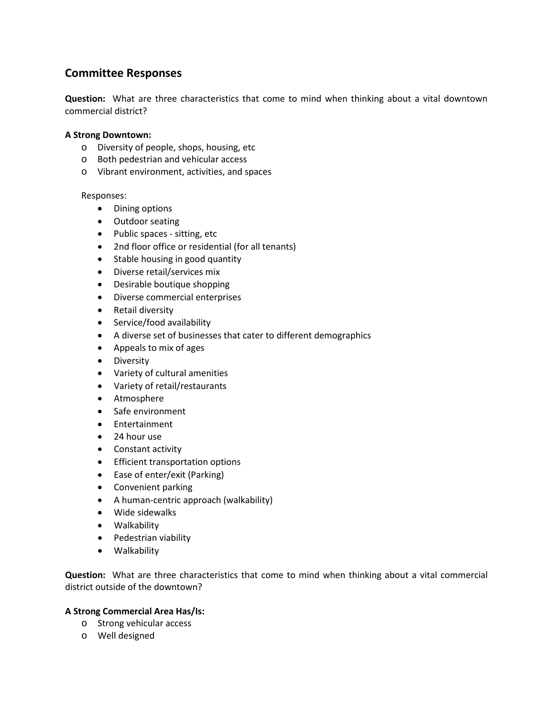#### **Committee Responses**

**Question:** What are three characteristics that come to mind when thinking about a vital downtown commercial district?

#### **A Strong Downtown:**

- o Diversity of people, shops, housing, etc
- o Both pedestrian and vehicular access
- o Vibrant environment, activities, and spaces

#### Responses:

- Dining options
- Outdoor seating
- Public spaces sitting, etc
- 2nd floor office or residential (for all tenants)
- Stable housing in good quantity
- Diverse retail/services mix
- Desirable boutique shopping
- Diverse commercial enterprises
- Retail diversity
- Service/food availability
- A diverse set of businesses that cater to different demographics
- Appeals to mix of ages
- Diversity
- Variety of cultural amenities
- Variety of retail/restaurants
- Atmosphere
- Safe environment
- Entertainment
- 24 hour use
- Constant activity
- Efficient transportation options
- Ease of enter/exit (Parking)
- Convenient parking
- A human-centric approach (walkability)
- Wide sidewalks
- Walkability
- Pedestrian viability
- Walkability

**Question:** What are three characteristics that come to mind when thinking about a vital commercial district outside of the downtown?

#### **A Strong Commercial Area Has/Is:**

- o Strong vehicular access
- o Well designed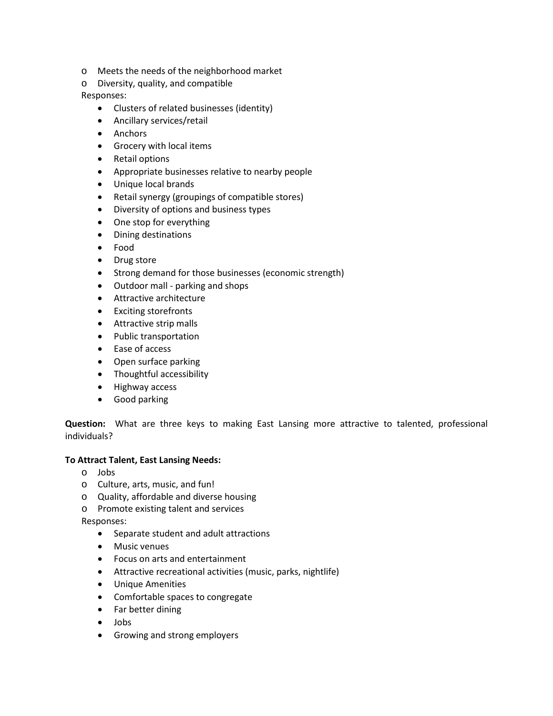- o Meets the needs of the neighborhood market
- o Diversity, quality, and compatible

Responses:

- Clusters of related businesses (identity)
- Ancillary services/retail
- Anchors
- Grocery with local items
- Retail options
- Appropriate businesses relative to nearby people
- Unique local brands
- Retail synergy (groupings of compatible stores)
- Diversity of options and business types
- One stop for everything
- Dining destinations
- Food
- Drug store
- Strong demand for those businesses (economic strength)
- Outdoor mall parking and shops
- Attractive architecture
- Exciting storefronts
- Attractive strip malls
- Public transportation
- Ease of access
- Open surface parking
- Thoughtful accessibility
- Highway access
- Good parking

**Question:** What are three keys to making East Lansing more attractive to talented, professional individuals?

#### **To Attract Talent, East Lansing Needs:**

- o Jobs
- o Culture, arts, music, and fun!
- o Quality, affordable and diverse housing
- o Promote existing talent and services

Responses:

- Separate student and adult attractions
- Music venues
- Focus on arts and entertainment
- Attractive recreational activities (music, parks, nightlife)
- Unique Amenities
- Comfortable spaces to congregate
- Far better dining
- Jobs
- Growing and strong employers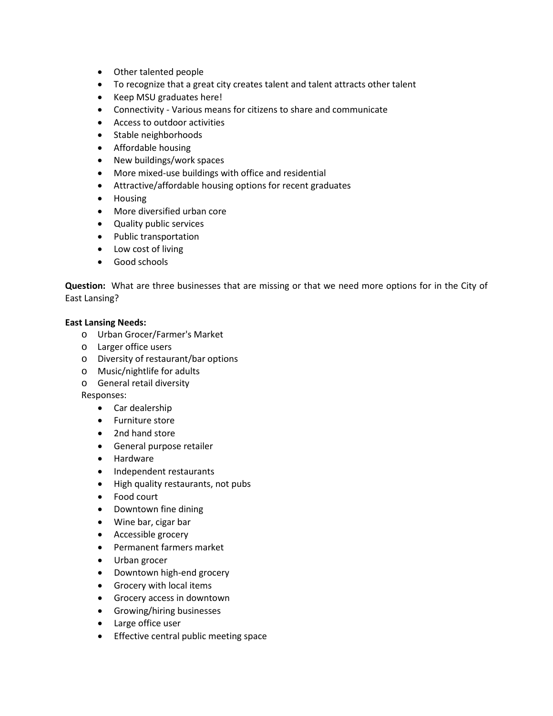- Other talented people
- To recognize that a great city creates talent and talent attracts other talent
- Keep MSU graduates here!
- Connectivity Various means for citizens to share and communicate
- Access to outdoor activities
- Stable neighborhoods
- Affordable housing
- New buildings/work spaces
- More mixed-use buildings with office and residential
- Attractive/affordable housing options for recent graduates
- Housing
- More diversified urban core
- Quality public services
- Public transportation
- Low cost of living
- Good schools

**Question:** What are three businesses that are missing or that we need more options for in the City of East Lansing?

#### **East Lansing Needs:**

- o Urban Grocer/Farmer's Market
- o Larger office users
- o Diversity of restaurant/bar options
- o Music/nightlife for adults
- o General retail diversity

Responses:

- Car dealership
- Furniture store
- 2nd hand store
- General purpose retailer
- Hardware
- Independent restaurants
- High quality restaurants, not pubs
- Food court
- Downtown fine dining
- Wine bar, cigar bar
- Accessible grocery
- Permanent farmers market
- Urban grocer
- Downtown high-end grocery
- Grocery with local items
- Grocery access in downtown
- Growing/hiring businesses
- Large office user
- Effective central public meeting space